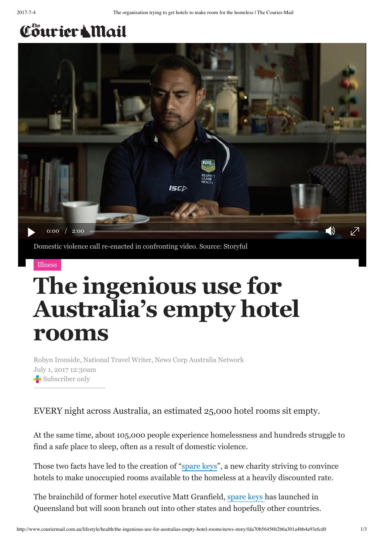## Cöurier & Mail



## [Illness](http://www.couriermail.com.au/lifestyle/health)

## **The ingenious use for Australia's empty hotel rooms**

Robyn Ironside, National Travel Writer, News Corp Australia Network July 1, 2017 12:30am Subscriber only

EVERY night across Australia, an estimated 25,000 hotel rooms sit empty.

At the same time, about 105,000 people experience homelessness and hundreds struggle to find a safe place to sleep, often as a result of domestic violence.

Those two facts have led to the creation of "[spare keys"](http://sparekeys.org/), a new charity striving to convince hotels to make unoccupied rooms available to the homeless at a heavily discounted rate.

The brainchild of former hotel executive Matt Granfield, [spare keys](http://sparekeys.org/) has launched in Queensland but will soon branch out into other states and hopefully other countries.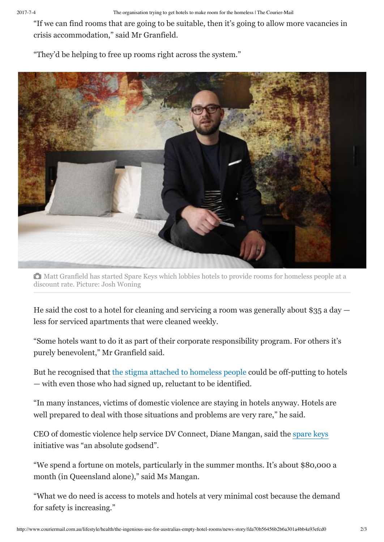"If we can find rooms that are going to be suitable, then it's going to allow more vacancies in crisis accommodation," said Mr Granfield.

"They'd be helping to free up rooms right across the system."



Matt Granfield has started Spare Keys which lobbies hotels to provide rooms for homeless people at a discount rate. Picture: Josh Woning

He said the cost to a hotel for cleaning and servicing a room was generally about \$35 a day less for serviced apartments that were cleaned weekly.

"Some hotels want to do it as part of their corporate responsibility program. For others it's purely benevolent," Mr Granfield said.

But he recognised that [the stigma attached to homeless people](http://www.news.com.au/lifestyle/real-life/news-life/christian-wilkins-opens-up-about-the-abuse-hurled-at-him-during-filthy-rich-and-homeless-filming/news-story/79314874eaeef7032683835429f6fb13) could be off-putting to hotels — with even those who had signed up, reluctant to be identified.

"In many instances, victims of domestic violence are staying in hotels anyway. Hotels are well prepared to deal with those situations and problems are very rare," he said.

CEO of domestic violence help service DV Connect, Diane Mangan, said the [spare keys](http://sparekeys.org/) initiative was "an absolute godsend".

"We spend a fortune on motels, particularly in the summer months. It's about \$80,000 a month (in Queensland alone)," said Ms Mangan.

"What we do need is access to motels and hotels at very minimal cost because the demand for safety is increasing."